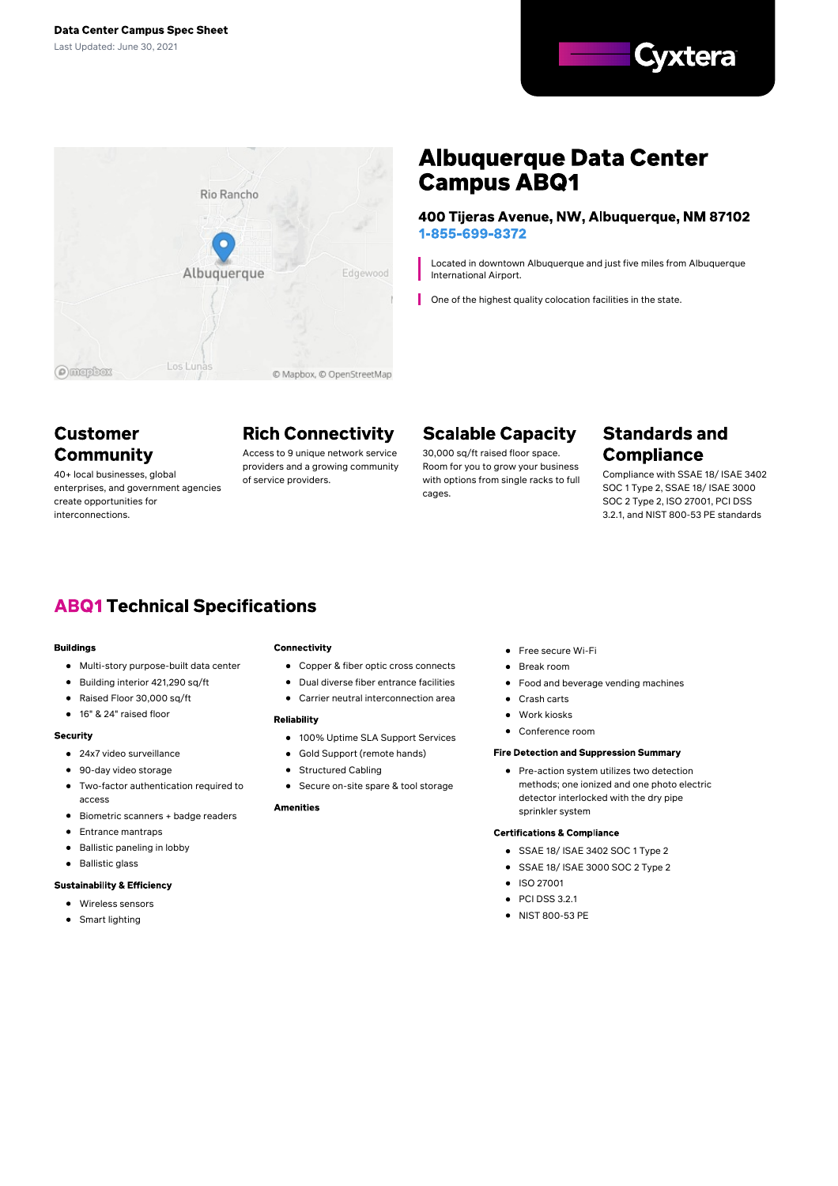



# **Albuquerque Data Center Campus ABQ1**

400 Tijeras Avenue, NW, Albuquerque, NM 87102 1-855-699-8372

Located in downtown Albuquerque and just five miles from Albuquerque International Airport.

One of the highest quality colocation facilities in the state.

## **Customer Community**

40+ local businesses, global enterprises, and government agencies create opportunities for interconnections.

# **Rich Connectivity**

Access to 9 unique network service providers and a growing community of service providers.

# **Scalable Capacity**

30,000 sq/ft raised floor space. Room for you to grow your business with options from single racks to full cages.

## **Standards and Compliance**

Compliance with SSAE 18/ ISAE 3402 SOC 1 Type 2, SSAE 18/ ISAE 3000 SOC 2 Type 2, ISO 27001, PCI DSS 3.2.1, and NIST 800-53 PE standards

# **ABQ1 Technical Specifications**

#### **Buildings**

- Multi-story purpose-built data center
- Building interior 421,290 sq/ft
- Raised Floor 30,000 sq/ft  $\bullet$
- 16" & 24" raised floor

#### **Security**

- 24x7 video surveillance
- 90-day video storage
- Two-factor authentication required to access
- Biometric scanners + badge readers
- Entrance mantraps
- Ballistic paneling in lobby  $\bullet$
- Ballistic glass

#### **Sustainability & Efficiency**

- Wireless sensors
- Smart lighting

#### Connectivity

- Copper & fiber optic cross connects
- Dual diverse fiber entrance facilities
- Carrier neutral interconnection area

#### **Reliability**

- 100% Uptime SLA Support Services
- Gold Support (remote hands)
- Structured Cabling
- Secure on-site spare & tool storage

#### **Amenities**

- Free secure Wi-Fi
- Break room
- $\bullet$ Food and beverage vending machines
- Crash carts
- Work kiosks
- Conference room

#### **Fire Detection and Suppression Summary**

**•** Pre-action system utilizes two detection methods; one ionized and one photo electric detector interlocked with the dry pipe sprinkler system

#### **Certifications & Compliance**

- SSAE 18/ ISAE 3402 SOC 1 Type 2
- SSAE 18/ ISAE 3000 SOC 2 Type 2
- **•** ISO 27001
- $\bullet$  PCI DSS 3.2.1
- NIST 800-53 PE